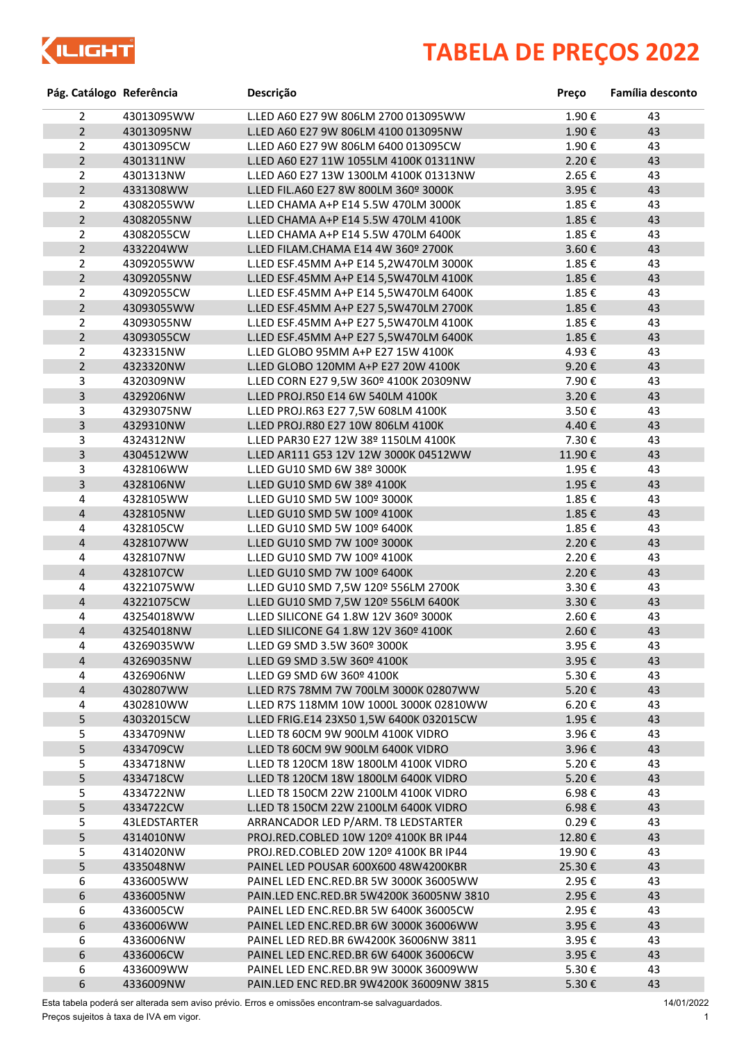

## **TABELA DE PREÇOS 2022**

| Pág. Catálogo Referência |              | Descrição                                | Preço                    | Família desconto |
|--------------------------|--------------|------------------------------------------|--------------------------|------------------|
| $\overline{2}$           | 43013095WW   | L.LED A60 E27 9W 806LM 2700 013095WW     | 1.90€                    | 43               |
| $2^{\circ}$              | 43013095NW   | L.LED A60 E27 9W 806LM 4100 013095NW     | 1.90€                    | 43               |
| $\overline{2}$           | 43013095CW   | L.LED A60 E27 9W 806LM 6400 013095CW     | 1.90€                    | 43               |
| $2^{\circ}$              | 4301311NW    | L.LED A60 E27 11W 1055LM 4100K 01311NW   | 2.20€                    | 43               |
| $\overline{2}$           | 4301313NW    | L.LED A60 E27 13W 1300LM 4100K 01313NW   | 2.65€                    | 43               |
| $2^{\circ}$              | 4331308WW    | L.LED FIL.A60 E27 8W 800LM 360º 3000K    | 3.95€                    | 43               |
| $\overline{2}$           | 43082055WW   | L.LED CHAMA A+P E14 5.5W 470LM 3000K     | 1.85€                    | 43               |
| $2^{\circ}$              | 43082055NW   | L.LED CHAMA A+P E14 5.5W 470LM 4100K     | 1.85€                    | 43               |
| $\overline{2}$           | 43082055CW   | L.LED CHAMA A+P E14 5.5W 470LM 6400K     | 1.85€                    | 43               |
| $2^{\circ}$              | 4332204WW    | L.LED FILAM.CHAMA E14 4W 360º 2700K      | 3.60€                    | 43               |
| $\overline{2}$           | 43092055WW   | L.LED ESF.45MM A+P E14 5,2W470LM 3000K   | 1.85€                    | 43               |
| $\overline{2}$           | 43092055NW   | L.LED ESF.45MM A+P E14 5,5W470LM 4100K   | 1.85€                    | 43               |
| $\overline{2}$           | 43092055CW   | L.LED ESF.45MM A+P E14 5,5W470LM 6400K   | 1.85€                    | 43               |
| $2^{\circ}$              | 43093055WW   | L.LED ESF.45MM A+P E27 5,5W470LM 2700K   | 1.85€                    | 43               |
| $\overline{2}$           | 43093055NW   | L.LED ESF.45MM A+P E27 5,5W470LM 4100K   | 1.85€                    | 43               |
| $\overline{2}$           | 43093055CW   | L.LED ESF.45MM A+P E27 5,5W470LM 6400K   | 1.85€                    | 43               |
| $\overline{2}$           | 4323315NW    | L.LED GLOBO 95MM A+P E27 15W 4100K       | 4.93€                    | 43               |
| $2^{\circ}$              | 4323320NW    | L.LED GLOBO 120MM A+P E27 20W 4100K      | 9.20€                    | 43               |
| 3                        | 4320309NW    | L.LED CORN E27 9,5W 360º 4100K 20309NW   | 7.90€                    | 43               |
| $\overline{3}$           | 4329206NW    | L.LED PROJ.R50 E14 6W 540LM 4100K        | 3.20€                    | 43               |
| 3                        | 43293075NW   | L.LED PROJ.R63 E27 7,5W 608LM 4100K      | 3.50€                    | 43               |
| 3                        | 4329310NW    | L.LED PROJ.R80 E27 10W 806LM 4100K       | 4.40€                    | 43               |
| 3                        | 4324312NW    | L.LED PAR30 E27 12W 38º 1150LM 4100K     | 7.30€                    | 43               |
| 3                        | 4304512WW    | L.LED AR111 G53 12V 12W 3000K 04512WW    | 11.90€                   | 43               |
| $\mathbf{3}$             | 4328106WW    | L.LED GU10 SMD 6W 38º 3000K              | 1.95€                    | 43               |
| 3                        | 4328106NW    | L.LED GU10 SMD 6W 38º 4100K              | 1.95€                    | 43               |
| 4                        | 4328105WW    | L.LED GU10 SMD 5W 100º 3000K             | 1.85€                    | 43               |
| 4                        | 4328105NW    | L.LED GU10 SMD 5W 100º 4100K             | 1.85€                    | 43               |
| 4                        | 4328105CW    | L.LED GU10 SMD 5W 100º 6400K             | 1.85€                    | 43               |
| 4                        | 4328107WW    | L.LED GU10 SMD 7W 100º 3000K             | 2.20€                    | 43               |
| 4                        | 4328107NW    | L.LED GU10 SMD 7W 100º 4100K             | 2.20€                    | 43               |
| $\overline{\mathbf{4}}$  | 4328107CW    | L.LED GU10 SMD 7W 100º 6400K             | 2.20€                    | 43               |
| 4                        | 43221075WW   | L.LED GU10 SMD 7,5W 120º 556LM 2700K     | 3.30€                    | 43               |
| $\overline{\mathbf{4}}$  | 43221075CW   | L.LED GU10 SMD 7,5W 120º 556LM 6400K     | 3.30€                    | 43               |
| 4                        | 43254018WW   | L.LED SILICONE G4 1.8W 12V 360º 3000K    | 2.60€                    | 43               |
| 4                        | 43254018NW   | L.LED SILICONE G4 1.8W 12V 360º 4100K    | 2.60€                    | 43               |
| 4                        | 43269035WW   | L.LED G9 SMD 3.5W 360º 3000K             | 3.95€                    | 43               |
| $\overline{\mathbf{4}}$  | 43269035NW   | L.LED G9 SMD 3.5W 360º 4100K             | 3.95€                    | 43               |
| 4                        | 4326906NW    | L.LED G9 SMD 6W 360º 4100K               | 5.30€                    | 43               |
| $\overline{\mathbf{4}}$  | 4302807WW    | L.LED R7S 78MM 7W 700LM 3000K 02807WW    | 5.20€                    | 43               |
| 4                        | 4302810WW    | L.LED R7S 118MM 10W 1000L 3000K 02810WW  | 6.20€                    | 43               |
| 5                        | 43032015CW   | L.LED FRIG.E14 23X50 1,5W 6400K 032015CW | 1.95€                    | 43               |
| 5                        | 4334709NW    | L.LED T8 60CM 9W 900LM 4100K VIDRO       | 3.96€                    | 43               |
| 5                        | 4334709CW    | L.LED T8 60CM 9W 900LM 6400K VIDRO       | 3.96€                    | 43               |
| 5                        | 4334718NW    | L.LED T8 120CM 18W 1800LM 4100K VIDRO    | 5.20€                    | 43               |
| 5                        | 4334718CW    | L.LED T8 120CM 18W 1800LM 6400K VIDRO    | 5.20€                    | 43               |
| 5                        | 4334722NW    | L.LED T8 150CM 22W 2100LM 4100K VIDRO    | 6.98€                    | 43               |
| 5                        | 4334722CW    | L.LED T8 150CM 22W 2100LM 6400K VIDRO    | $6.98 \text{ } \epsilon$ | 43               |
| 5                        | 43LEDSTARTER | ARRANCADOR LED P/ARM. T8 LEDSTARTER      | $0.29 \text{ } \epsilon$ | 43               |
| 5                        | 4314010NW    | PROJ.RED.COBLED 10W 120º 4100K BR IP44   | 12.80€                   | 43               |
| 5                        | 4314020NW    | PROJ.RED.COBLED 20W 120º 4100K BR IP44   | 19.90€                   | 43               |
| 5                        | 4335048NW    | PAINEL LED POUSAR 600X600 48W4200KBR     | 25.30€                   | 43               |
| 6                        | 4336005WW    | PAINEL LED ENC.RED.BR 5W 3000K 36005WW   | 2.95€                    | 43               |
| 6                        | 4336005NW    | PAIN.LED ENC.RED.BR 5W4200K 36005NW 3810 | 2.95€                    | 43               |
| 6                        | 4336005CW    | PAINEL LED ENC.RED.BR 5W 6400K 36005CW   | 2.95€                    | 43               |
| 6                        | 4336006WW    | PAINEL LED ENC.RED.BR 6W 3000K 36006WW   | 3.95€                    | 43               |
| 6                        | 4336006NW    | PAINEL LED RED.BR 6W4200K 36006NW 3811   | 3.95€                    | 43               |
| 6                        | 4336006CW    | PAINEL LED ENC.RED.BR 6W 6400K 36006CW   | 3.95€                    | 43               |
| 6                        | 4336009WW    | PAINEL LED ENC.RED.BR 9W 3000K 36009WW   | 5.30€                    | 43               |
| 6                        | 4336009NW    | PAIN.LED ENC RED.BR 9W4200K 36009NW 3815 | 5.30€                    | 43               |

Esta tabela poderá ser alterada sem aviso prévio. Erros e omissões encontram-se salvaguardados. Preços sujeitos à taxa de IVA em vigor.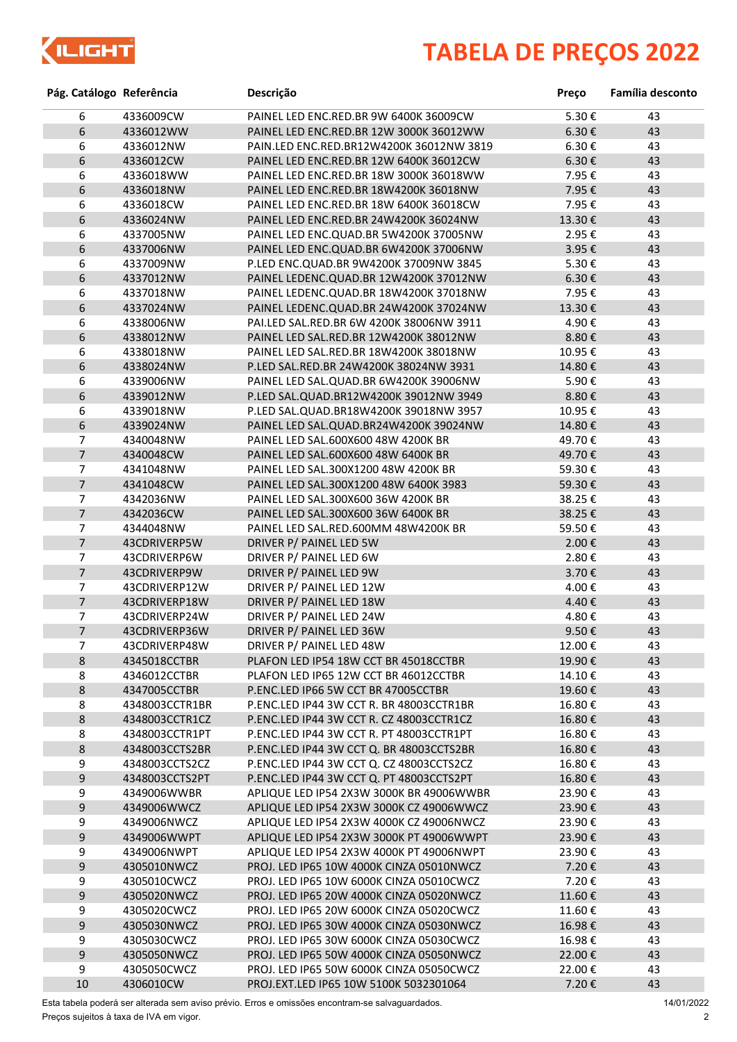

## **TABELA DE PREÇOS 2022**

| Pág. Catálogo Referência |                | Descrição                                | Preço               | Família desconto |
|--------------------------|----------------|------------------------------------------|---------------------|------------------|
| 6                        | 4336009CW      | PAINEL LED ENC.RED.BR 9W 6400K 36009CW   | 5.30€               | 43               |
| 6                        | 4336012WW      | PAINEL LED ENC.RED.BR 12W 3000K 36012WW  | $6.30 \text{ } \in$ | 43               |
| 6                        | 4336012NW      | PAIN.LED ENC.RED.BR12W4200K 36012NW 3819 | $6.30 \text{ } \in$ | 43               |
| 6                        | 4336012CW      | PAINEL LED ENC.RED.BR 12W 6400K 36012CW  | 6.30€               | 43               |
| 6                        | 4336018WW      | PAINEL LED ENC.RED.BR 18W 3000K 36018WW  | 7.95€               | 43               |
| 6                        | 4336018NW      | PAINEL LED ENC.RED.BR 18W4200K 36018NW   | 7.95€               | 43               |
| 6                        | 4336018CW      | PAINEL LED ENC.RED.BR 18W 6400K 36018CW  | 7.95€               | 43               |
| 6                        | 4336024NW      | PAINEL LED ENC.RED.BR 24W4200K 36024NW   | 13.30€              | 43               |
| 6                        | 4337005NW      | PAINEL LED ENC.QUAD.BR 5W4200K 37005NW   | 2.95€               | 43               |
| 6                        | 4337006NW      | PAINEL LED ENC.QUAD.BR 6W4200K 37006NW   | 3.95€               | 43               |
| 6                        | 4337009NW      | P.LED ENC.QUAD.BR 9W4200K 37009NW 3845   | 5.30€               | 43               |
| 6                        | 4337012NW      | PAINEL LEDENC.QUAD.BR 12W4200K 37012NW   | 6.30€               | 43               |
| 6                        | 4337018NW      | PAINEL LEDENC.QUAD.BR 18W4200K 37018NW   | 7.95€               | 43               |
| 6                        | 4337024NW      | PAINEL LEDENC.QUAD.BR 24W4200K 37024NW   | 13.30€              | 43               |
| 6                        | 4338006NW      | PAI.LED SAL.RED.BR 6W 4200K 38006NW 3911 | 4.90€               | 43               |
| 6                        | 4338012NW      | PAINEL LED SAL.RED.BR 12W4200K 38012NW   | 8.80€               | 43               |
| 6                        | 4338018NW      | PAINEL LED SAL.RED.BR 18W4200K 38018NW   | 10.95€              | 43               |
| 6                        | 4338024NW      | P.LED SAL.RED.BR 24W4200K 38024NW 3931   | 14.80€              | 43               |
| 6                        | 4339006NW      | PAINEL LED SAL.QUAD.BR 6W4200K 39006NW   | 5.90€               | 43               |
| 6                        | 4339012NW      | P.LED SAL.QUAD.BR12W4200K 39012NW 3949   | 8.80€               | 43               |
| 6                        | 4339018NW      | P.LED SAL.QUAD.BR18W4200K 39018NW 3957   | 10.95€              | 43               |
| 6                        | 4339024NW      | PAINEL LED SAL. QUAD. BR24W4200K 39024NW | 14.80€              | 43               |
| 7                        | 4340048NW      | PAINEL LED SAL.600X600 48W 4200K BR      | 49.70€              | 43               |
| $\overline{7}$           | 4340048CW      | PAINEL LED SAL.600X600 48W 6400K BR      | 49.70€              | 43               |
| 7                        | 4341048NW      | PAINEL LED SAL.300X1200 48W 4200K BR     | 59.30€              | 43               |
| $\overline{7}$           | 4341048CW      | PAINEL LED SAL.300X1200 48W 6400K 3983   | 59.30€              | 43               |
| 7                        | 4342036NW      | PAINEL LED SAL.300X600 36W 4200K BR      | 38.25€              | 43               |
| $\overline{7}$           | 4342036CW      | PAINEL LED SAL.300X600 36W 6400K BR      | 38.25€              | 43               |
| 7                        | 4344048NW      | PAINEL LED SAL.RED.600MM 48W4200K BR     | 59.50€              | 43               |
| $\overline{7}$           | 43CDRIVERP5W   | DRIVER P/ PAINEL LED 5W                  | 2.00€               | 43               |
| $\overline{7}$           | 43CDRIVERP6W   | DRIVER P/ PAINEL LED 6W                  | 2.80€               | 43               |
| $\overline{7}$           | 43CDRIVERP9W   | DRIVER P/ PAINEL LED 9W                  | 3.70€               | 43               |
| 7                        | 43CDRIVERP12W  | DRIVER P/ PAINEL LED 12W                 | 4.00€               | 43               |
| $\overline{7}$           | 43CDRIVERP18W  | DRIVER P/ PAINEL LED 18W                 | 4.40€               | 43               |
| 7                        | 43CDRIVERP24W  | DRIVER P/ PAINEL LED 24W                 | 4.80€               | 43               |
| $\overline{7}$           | 43CDRIVERP36W  | DRIVER P/ PAINEL LED 36W                 | 9.50€               | 43               |
| 7                        | 43CDRIVERP48W  | DRIVER P/ PAINEL LED 48W                 | 12.00€              | 43               |
| $\,8\,$                  | 4345018CCTBR   | PLAFON LED IP54 18W CCT BR 45018CCTBR    | 19.90€              | 43               |
| 8                        | 4346012CCTBR   | PLAFON LED IP65 12W CCT BR 46012CCTBR    | 14.10€              | 43               |
| $\bf 8$                  | 4347005CCTBR   | P.ENC.LED IP66 5W CCT BR 47005CCTBR      | 19.60€              | 43               |
| 8                        | 4348003CCTR1BR | P.ENC.LED IP44 3W CCT R. BR 48003CCTR1BR | 16.80€              | 43               |
| $\bf 8$                  | 4348003CCTR1CZ | P.ENC.LED IP44 3W CCT R. CZ 48003CCTR1CZ | 16.80€              | 43               |
| 8                        | 4348003CCTR1PT | P.ENC.LED IP44 3W CCT R. PT 48003CCTR1PT | 16.80€              | 43               |
| $\bf 8$                  | 4348003CCTS2BR | P.ENC.LED IP44 3W CCT Q. BR 48003CCTS2BR | 16.80€              | 43               |
| 9                        | 4348003CCTS2CZ | P.ENC.LED IP44 3W CCT Q. CZ 48003CCTS2CZ | 16.80€              | 43               |
| $\boldsymbol{9}$         | 4348003CCTS2PT | P.ENC.LED IP44 3W CCT Q. PT 48003CCTS2PT | 16.80€              | 43               |
| 9                        | 4349006WWBR    | APLIQUE LED IP54 2X3W 3000K BR 49006WWBR | 23.90€              | 43               |
| $\boldsymbol{9}$         | 4349006WWCZ    | APLIQUE LED IP54 2X3W 3000K CZ 49006WWCZ | 23.90€              | 43               |
| 9                        | 4349006NWCZ    | APLIQUE LED IP54 2X3W 4000K CZ 49006NWCZ | 23.90€              | 43               |
| $\boldsymbol{9}$         | 4349006WWPT    | APLIQUE LED IP54 2X3W 3000K PT 49006WWPT | 23.90€              | 43               |
| 9                        | 4349006NWPT    | APLIQUE LED IP54 2X3W 4000K PT 49006NWPT | 23.90€              | 43               |
| $\boldsymbol{9}$         | 4305010NWCZ    | PROJ. LED IP65 10W 4000K CINZA 05010NWCZ | 7.20€               | 43               |
| 9                        | 4305010CWCZ    | PROJ. LED IP65 10W 6000K CINZA 05010CWCZ | 7.20€               | 43               |
| 9                        | 4305020NWCZ    | PROJ. LED IP65 20W 4000K CINZA 05020NWCZ | 11.60€              | 43               |
| 9                        | 4305020CWCZ    | PROJ. LED IP65 20W 6000K CINZA 05020CWCZ | 11.60€              | 43               |
| 9                        | 4305030NWCZ    | PROJ. LED IP65 30W 4000K CINZA 05030NWCZ | 16.98€              | 43               |
| 9                        | 4305030CWCZ    | PROJ. LED IP65 30W 6000K CINZA 05030CWCZ | 16.98€              | 43               |
| $\boldsymbol{9}$         | 4305050NWCZ    | PROJ. LED IP65 50W 4000K CINZA 05050NWCZ | 22.00€              | 43               |
| 9                        | 4305050CWCZ    | PROJ. LED IP65 50W 6000K CINZA 05050CWCZ | 22.00 €             | 43               |
| 10                       | 4306010CW      | PROJ.EXT.LED IP65 10W 5100K 5032301064   | 7.20€               | 43               |